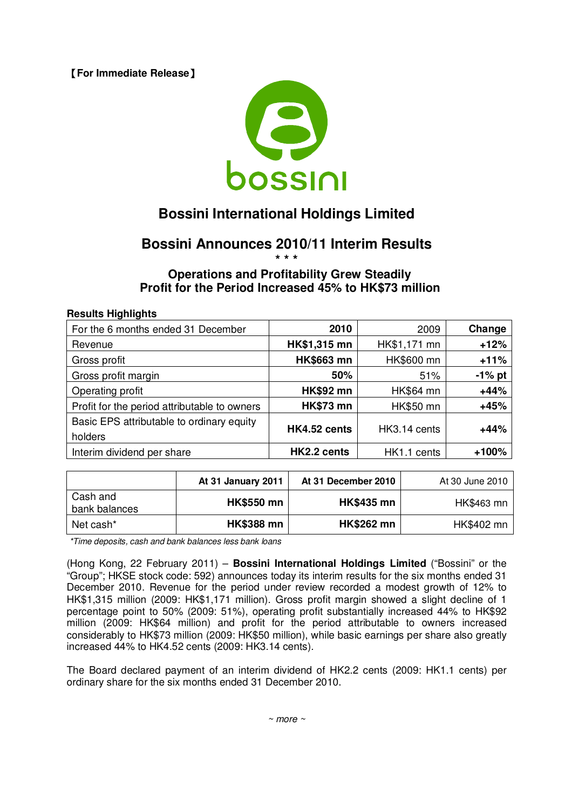**[For Immediate Release]** 



# **Bossini International Holdings Limited**

# **Bossini Announces 2010/11 Interim Results \* \* \***

# **Operations and Profitability Grew Steadily Profit for the Period Increased 45% to HK\$73 million**

#### **Results Highlights**

| For the 6 months ended 31 December                   | 2010              | 2009         | Change    |
|------------------------------------------------------|-------------------|--------------|-----------|
| Revenue                                              | HK\$1,315 mn      | HK\$1,171 mn | $+12%$    |
| Gross profit                                         | <b>HK\$663 mn</b> | HK\$600 mn   | $+11%$    |
| Gross profit margin                                  | 50%               | 51%          | $-1\%$ pt |
| Operating profit                                     | <b>HK\$92 mn</b>  | HK\$64 mn    | $+44%$    |
| Profit for the period attributable to owners         | <b>HK\$73 mn</b>  | HK\$50 mn    | $+45%$    |
| Basic EPS attributable to ordinary equity<br>holders | HK4.52 cents      | HK3.14 cents | $+44%$    |
| Interim dividend per share                           | HK2.2 cents       | HK1.1 cents  | +100%     |

|                           | At 31 January 2011 | At 31 December 2010 | At 30 June 2010 |
|---------------------------|--------------------|---------------------|-----------------|
| Cash and<br>bank balances | <b>HK\$550 mn</b>  | <b>HK\$435 mn</b>   | HK\$463 mn      |
| Net cash*                 | <b>HK\$388 mn</b>  | <b>HK\$262 mn</b>   | HK\$402 mn      |

*\*Time deposits, cash and bank balances less bank loans*

(Hong Kong, 22 February 2011) – **Bossini International Holdings Limited** ("Bossini" or the "Group"; HKSE stock code: 592) announces today its interim results for the six months ended 31 December 2010. Revenue for the period under review recorded a modest growth of 12% to HK\$1,315 million (2009: HK\$1,171 million). Gross profit margin showed a slight decline of 1 percentage point to 50% (2009: 51%), operating profit substantially increased 44% to HK\$92 million (2009: HK\$64 million) and profit for the period attributable to owners increased considerably to HK\$73 million (2009: HK\$50 million), while basic earnings per share also greatly increased 44% to HK4.52 cents (2009: HK3.14 cents).

The Board declared payment of an interim dividend of HK2.2 cents (2009: HK1.1 cents) per ordinary share for the six months ended 31 December 2010.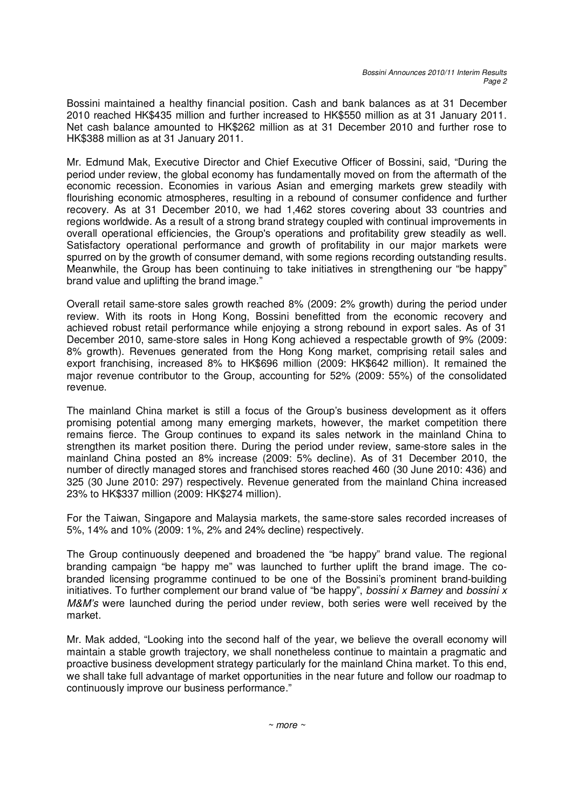Bossini maintained a healthy financial position. Cash and bank balances as at 31 December 2010 reached HK\$435 million and further increased to HK\$550 million as at 31 January 2011. Net cash balance amounted to HK\$262 million as at 31 December 2010 and further rose to HK\$388 million as at 31 January 2011.

Mr. Edmund Mak, Executive Director and Chief Executive Officer of Bossini, said, "During the period under review, the global economy has fundamentally moved on from the aftermath of the economic recession. Economies in various Asian and emerging markets grew steadily with flourishing economic atmospheres, resulting in a rebound of consumer confidence and further recovery. As at 31 December 2010, we had 1,462 stores covering about 33 countries and regions worldwide. As a result of a strong brand strategy coupled with continual improvements in overall operational efficiencies, the Group's operations and profitability grew steadily as well. Satisfactory operational performance and growth of profitability in our major markets were spurred on by the growth of consumer demand, with some regions recording outstanding results. Meanwhile, the Group has been continuing to take initiatives in strengthening our "be happy" brand value and uplifting the brand image."

Overall retail same-store sales growth reached 8% (2009: 2% growth) during the period under review. With its roots in Hong Kong, Bossini benefitted from the economic recovery and achieved robust retail performance while enjoying a strong rebound in export sales. As of 31 December 2010, same-store sales in Hong Kong achieved a respectable growth of 9% (2009: 8% growth). Revenues generated from the Hong Kong market, comprising retail sales and export franchising, increased 8% to HK\$696 million (2009: HK\$642 million). It remained the major revenue contributor to the Group, accounting for 52% (2009: 55%) of the consolidated revenue.

The mainland China market is still a focus of the Group's business development as it offers promising potential among many emerging markets, however, the market competition there remains fierce. The Group continues to expand its sales network in the mainland China to strengthen its market position there. During the period under review, same-store sales in the mainland China posted an 8% increase (2009: 5% decline). As of 31 December 2010, the number of directly managed stores and franchised stores reached 460 (30 June 2010: 436) and 325 (30 June 2010: 297) respectively. Revenue generated from the mainland China increased 23% to HK\$337 million (2009: HK\$274 million).

For the Taiwan, Singapore and Malaysia markets, the same-store sales recorded increases of 5%, 14% and 10% (2009: 1%, 2% and 24% decline) respectively.

The Group continuously deepened and broadened the "be happy" brand value. The regional branding campaign "be happy me" was launched to further uplift the brand image. The cobranded licensing programme continued to be one of the Bossini's prominent brand-building initiatives. To further complement our brand value of "be happy", *bossini x Barney* and *bossini x M&M's* were launched during the period under review, both series were well received by the market.

Mr. Mak added, "Looking into the second half of the year, we believe the overall economy will maintain a stable growth trajectory, we shall nonetheless continue to maintain a pragmatic and proactive business development strategy particularly for the mainland China market. To this end, we shall take full advantage of market opportunities in the near future and follow our roadmap to continuously improve our business performance."